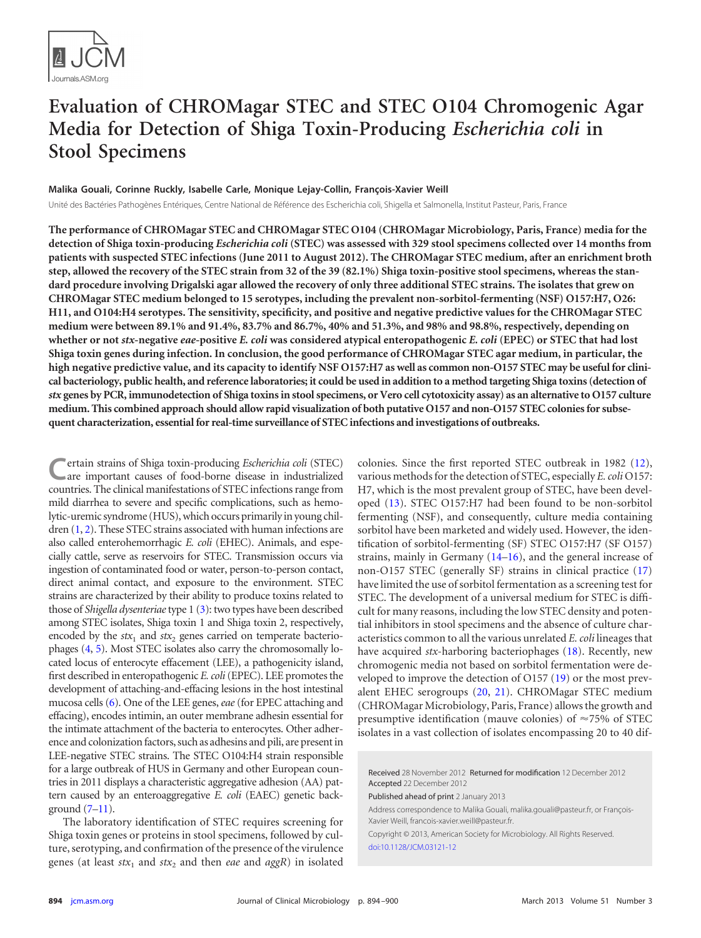

# **Evaluation of CHROMagar STEC and STEC O104 Chromogenic Agar Media for Detection of Shiga Toxin-Producing** *Escherichia coli* **in Stool Specimens**

# **Malika Gouali, Corinne Ruckly, Isabelle Carle, Monique Lejay-Collin, François-Xavier Weill**

Unité des Bactéries Pathogènes Entériques, Centre National de Référence des Escherichia coli, Shigella et Salmonella, Institut Pasteur, Paris, France

**The performance of CHROMagar STEC and CHROMagar STEC O104 (CHROMagar Microbiology, Paris, France) media for the detection of Shiga toxin-producing** *Escherichia coli* **(STEC) was assessed with 329 stool specimens collected over 14 months from patients with suspected STEC infections (June 2011 to August 2012). The CHROMagar STEC medium, after an enrichment broth step, allowed the recovery of the STEC strain from 32 of the 39 (82.1%) Shiga toxin-positive stool specimens, whereas the standard procedure involving Drigalski agar allowed the recovery of only three additional STEC strains. The isolates that grew on CHROMagar STEC medium belonged to 15 serotypes, including the prevalent non-sorbitol-fermenting (NSF) O157:H7, O26: H11, and O104:H4 serotypes. The sensitivity, specificity, and positive and negative predictive values for the CHROMagar STEC medium were between 89.1% and 91.4%, 83.7% and 86.7%, 40% and 51.3%, and 98% and 98.8%, respectively, depending on whether or not** *stx***-negative** *eae***-positive** *E. coli* **was considered atypical enteropathogenic** *E. coli* **(EPEC) or STEC that had lost Shiga toxin genes during infection. In conclusion, the good performance of CHROMagar STEC agar medium, in particular, the high negative predictive value, and its capacity to identify NSF O157:H7 aswell as common non-O157 STEC may be useful for clinical bacteriology, public health, and reference laboratories; it could be used in addition to a method targeting Shiga toxins (detection of** *stx* **genes by PCR, immunodetection of Shiga toxins in stool specimens, or Vero cell cytotoxicity assay) as an alternative to O157 culture medium. This combined approach should allow rapid visualization of both putative O157 and non-O157 STEC colonies for subsequent characterization, essential for real-time surveillance of STEC infections and investigations of outbreaks.**

**C**ertain strains of Shiga toxin-producing *Escherichia coli* (STEC) are important causes of food-borne disease in industrialized countries. The clinical manifestations of STEC infections range from mild diarrhea to severe and specific complications, such as hemolytic-uremic syndrome (HUS), which occurs primarily in young chil-dren [\(1,](#page-5-0) [2\)](#page-5-1). These STEC strains associated with human infections are also called enterohemorrhagic *E. coli* (EHEC). Animals, and especially cattle, serve as reservoirs for STEC. Transmission occurs via ingestion of contaminated food or water, person-to-person contact, direct animal contact, and exposure to the environment. STEC strains are characterized by their ability to produce toxins related to those of *Shigella dysenteriae*type 1 [\(3\)](#page-5-2): two types have been described among STEC isolates, Shiga toxin 1 and Shiga toxin 2, respectively, encoded by the  $stx_1$  and  $stx_2$  genes carried on temperate bacteriophages [\(4,](#page-5-3) [5\)](#page-6-0). Most STEC isolates also carry the chromosomally located locus of enterocyte effacement (LEE), a pathogenicity island, first described in enteropathogenic *E. coli*(EPEC). LEE promotes the development of attaching-and-effacing lesions in the host intestinal mucosa cells [\(6\)](#page-6-1). One of the LEE genes,*eae*(for EPEC attaching and effacing), encodes intimin, an outer membrane adhesin essential for the intimate attachment of the bacteria to enterocytes. Other adherence and colonization factors, such as adhesins and pili, are present in LEE-negative STEC strains. The STEC O104:H4 strain responsible for a large outbreak of HUS in Germany and other European countries in 2011 displays a characteristic aggregative adhesion (AA) pattern caused by an enteroaggregative *E. coli* (EAEC) genetic background  $(7-11)$  $(7-11)$ .

The laboratory identification of STEC requires screening for Shiga toxin genes or proteins in stool specimens, followed by culture, serotyping, and confirmation of the presence of the virulence genes (at least  $stx_1$  and  $stx_2$  and then *eae* and  $aggR$ ) in isolated

colonies. Since the first reported STEC outbreak in 1982 [\(12\)](#page-6-4), various methods for the detection of STEC, especially *E. coli* O157: H7, which is the most prevalent group of STEC, have been developed [\(13\)](#page-6-5). STEC O157:H7 had been found to be non-sorbitol fermenting (NSF), and consequently, culture media containing sorbitol have been marketed and widely used. However, the identification of sorbitol-fermenting (SF) STEC O157:H7 (SF O157) strains, mainly in Germany  $(14–16)$  $(14–16)$ , and the general increase of non-O157 STEC (generally SF) strains in clinical practice [\(17\)](#page-6-8) have limited the use of sorbitol fermentation as a screening test for STEC. The development of a universal medium for STEC is difficult for many reasons, including the low STEC density and potential inhibitors in stool specimens and the absence of culture characteristics common to all the various unrelated *E. coli* lineages that have acquired *stx*-harboring bacteriophages [\(18\)](#page-6-9). Recently, new chromogenic media not based on sorbitol fermentation were developed to improve the detection of O157 [\(19\)](#page-6-10) or the most prevalent EHEC serogroups [\(20,](#page-6-11) [21\)](#page-6-12). CHROMagar STEC medium (CHROMagar Microbiology, Paris, France) allows the growth and presumptive identification (mauve colonies) of  $\approx$ 75% of STEC isolates in a vast collection of isolates encompassing 20 to 40 dif-

Received 28 November 2012 Returned for modification 12 December 2012 Accepted 22 December 2012

Published ahead of print 2 January 2013

Address correspondence to Malika Gouali, malika.gouali@pasteur.fr, or François-Xavier Weill, francois-xavier.weill@pasteur.fr.

Copyright © 2013, American Society for Microbiology. All Rights Reserved. [doi:10.1128/JCM.03121-12](http://dx.doi.org/10.1128/JCM.03121-12)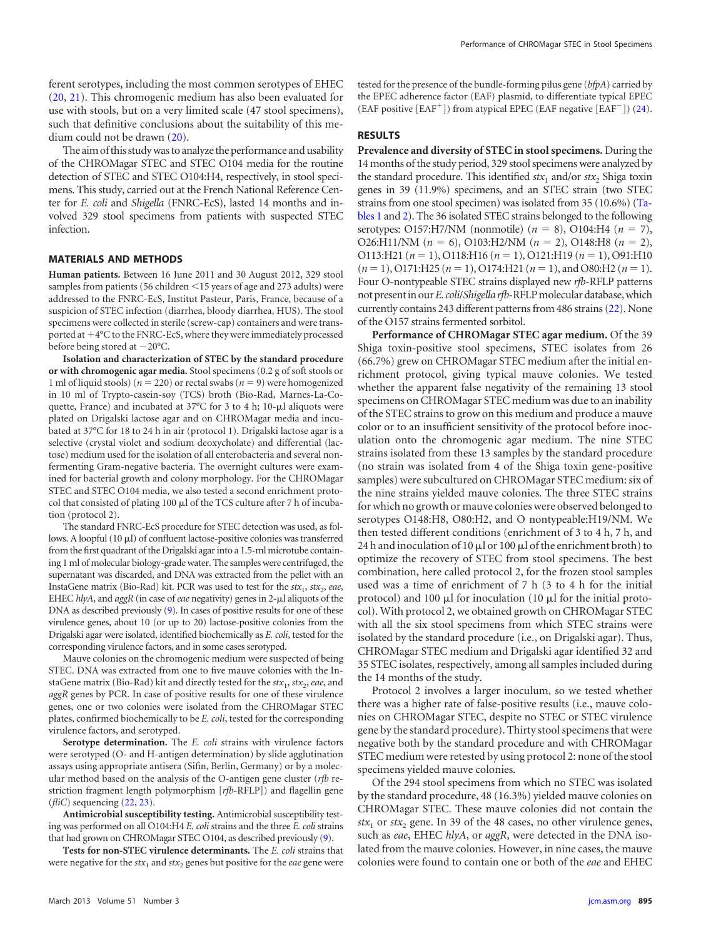ferent serotypes, including the most common serotypes of EHEC [\(20,](#page-6-11) [21\)](#page-6-12). This chromogenic medium has also been evaluated for use with stools, but on a very limited scale (47 stool specimens), such that definitive conclusions about the suitability of this medium could not be drawn [\(20\)](#page-6-11).

The aim of this studywas to analyze the performance and usability of the CHROMagar STEC and STEC O104 media for the routine detection of STEC and STEC O104:H4, respectively, in stool specimens. This study, carried out at the French National Reference Center for *E. coli* and *Shigella* (FNRC-EcS), lasted 14 months and involved 329 stool specimens from patients with suspected STEC infection.

#### **MATERIALS AND METHODS**

**Human patients.** Between 16 June 2011 and 30 August 2012, 329 stool samples from patients (56 children <15 years of age and 273 adults) were addressed to the FNRC-EcS, Institut Pasteur, Paris, France, because of a suspicion of STEC infection (diarrhea, bloody diarrhea, HUS). The stool specimens were collected in sterile (screw-cap) containers and were transported at  $+4$ °C to the FNRC-EcS, where they were immediately processed before being stored at  $-20^{\circ}$ C.

**Isolation and characterization of STEC by the standard procedure or with chromogenic agar media.** Stool specimens (0.2 g of soft stools or 1 ml of liquid stools) ( $n = 220$ ) or rectal swabs ( $n = 9$ ) were homogenized in 10 ml of Trypto-casein-soy (TCS) broth (Bio-Rad, Marnes-La-Coquette, France) and incubated at  $37^{\circ}$ C for 3 to 4 h; 10- $\mu$ l aliquots were plated on Drigalski lactose agar and on CHROMagar media and incubated at 37°C for 18 to 24 h in air (protocol 1). Drigalski lactose agar is a selective (crystal violet and sodium deoxycholate) and differential (lactose) medium used for the isolation of all enterobacteria and several nonfermenting Gram-negative bacteria. The overnight cultures were examined for bacterial growth and colony morphology. For the CHROMagar STEC and STEC O104 media, we also tested a second enrichment protocol that consisted of plating 100  $\mu$ l of the TCS culture after 7 h of incubation (protocol 2).

The standard FNRC-EcS procedure for STEC detection was used, as follows. A loopful  $(10 \mu l)$  of confluent lactose-positive colonies was transferred from the first quadrant of the Drigalski agar into a 1.5-ml microtube containing 1 ml of molecular biology-grade water. The samples were centrifuged, the supernatant was discarded, and DNA was extracted from the pellet with an InstaGene matrix (Bio-Rad) kit. PCR was used to test for the  $stx_1, stx_2, eae$ , EHEC hlyA, and aggR (in case of *eae* negativity) genes in 2-µl aliquots of the DNA as described previously [\(9\)](#page-6-13). In cases of positive results for one of these virulence genes, about 10 (or up to 20) lactose-positive colonies from the Drigalski agar were isolated, identified biochemically as *E. coli*, tested for the corresponding virulence factors, and in some cases serotyped.

Mauve colonies on the chromogenic medium were suspected of being STEC. DNA was extracted from one to five mauve colonies with the InstaGene matrix (Bio-Rad) kit and directly tested for the *stx*<sub>1</sub>, *stx*<sub>2</sub>, *eae*, and *aggR* genes by PCR. In case of positive results for one of these virulence genes, one or two colonies were isolated from the CHROMagar STEC plates, confirmed biochemically to be *E. coli*, tested for the corresponding virulence factors, and serotyped.

**Serotype determination.** The *E. coli* strains with virulence factors were serotyped (O- and H-antigen determination) by slide agglutination assays using appropriate antisera (Sifin, Berlin, Germany) or by a molecular method based on the analysis of the O-antigen gene cluster (*rfb* restriction fragment length polymorphism [*rfb*-RFLP]) and flagellin gene (*fliC*) sequencing [\(22,](#page-6-14) [23\)](#page-6-15).

**Antimicrobial susceptibility testing.** Antimicrobial susceptibility testing was performed on all O104:H4 *E. coli* strains and the three *E. coli* strains that had grown on CHROMagar STEC O104, as described previously [\(9\)](#page-6-13).

**Tests for non-STEC virulence determinants.** The *E. coli* strains that were negative for the  $\text{ }$ stx<sub>1</sub> and  $\text{ }$ stx<sub>2</sub> genes but positive for the *eae* gene were tested for the presence of the bundle-forming pilus gene (*bfpA*) carried by the EPEC adherence factor (EAF) plasmid, to differentiate typical EPEC (EAF positive  $[EAF^+]$ ) from atypical EPEC (EAF negative  $[EAF^-]$ ) [\(24\)](#page-6-16).

## **RESULTS**

**Prevalence and diversity of STEC in stool specimens.** During the 14 months of the study period, 329 stool specimens were analyzed by the standard procedure. This identified  $stx_1$  and/or  $stx_2$  Shiga toxin genes in 39 (11.9%) specimens, and an STEC strain (two STEC strains from one stool specimen) was isolated from 35 (10.6%) [\(Ta](#page-2-0)[bles 1](#page-2-0) and [2\)](#page-3-0). The 36 isolated STEC strains belonged to the following serotypes: O157:H7/NM (nonmotile)  $(n = 8)$ , O104:H4  $(n = 7)$ , O26:H11/NM (*n* 6), O103:H2/NM (*n* 2), O148:H8 (*n* 2), O113:H21 ( $n = 1$ ), O118:H16 ( $n = 1$ ), O121:H19 ( $n = 1$ ), O91:H10  $(n = 1)$ , O171:H25  $(n = 1)$ , O174:H21  $(n = 1)$ , and O80:H2  $(n = 1)$ . Four O-nontypeable STEC strains displayed new *rfb*-RFLP patterns not presentin our*E. coli*/*Shigella rfb*-RFLPmolecular database,which currently contains 243 different patterns from 486 strains [\(22\)](#page-6-14). None of the O157 strains fermented sorbitol.

**Performance of CHROMagar STEC agar medium.** Of the 39 Shiga toxin-positive stool specimens, STEC isolates from 26 (66.7%) grew on CHROMagar STEC medium after the initial enrichment protocol, giving typical mauve colonies. We tested whether the apparent false negativity of the remaining 13 stool specimens on CHROMagar STEC medium was due to an inability of the STEC strains to grow on this medium and produce a mauve color or to an insufficient sensitivity of the protocol before inoculation onto the chromogenic agar medium. The nine STEC strains isolated from these 13 samples by the standard procedure (no strain was isolated from 4 of the Shiga toxin gene-positive samples) were subcultured on CHROMagar STEC medium: six of the nine strains yielded mauve colonies. The three STEC strains for which no growth or mauve colonies were observed belonged to serotypes O148:H8, O80:H2, and O nontypeable:H19/NM. We then tested different conditions (enrichment of 3 to 4 h, 7 h, and 24 h and inoculation of 10  $\mu$ l or 100  $\mu$ l of the enrichment broth) to optimize the recovery of STEC from stool specimens. The best combination, here called protocol 2, for the frozen stool samples used was a time of enrichment of 7 h (3 to 4 h for the initial protocol) and 100  $\mu$ l for inoculation (10  $\mu$ l for the initial protocol). With protocol 2, we obtained growth on CHROMagar STEC with all the six stool specimens from which STEC strains were isolated by the standard procedure (i.e., on Drigalski agar). Thus, CHROMagar STEC medium and Drigalski agar identified 32 and 35 STEC isolates, respectively, among all samples included during the 14 months of the study.

Protocol 2 involves a larger inoculum, so we tested whether there was a higher rate of false-positive results (i.e., mauve colonies on CHROMagar STEC, despite no STEC or STEC virulence gene by the standard procedure). Thirty stool specimens that were negative both by the standard procedure and with CHROMagar STEC medium were retested by using protocol 2: none of the stool specimens yielded mauve colonies.

Of the 294 stool specimens from which no STEC was isolated by the standard procedure, 48 (16.3%) yielded mauve colonies on CHROMagar STEC. These mauve colonies did not contain the  $\frac{dx_1}{dx_2}$  or  $\frac{dx_2}{dx_1}$  gene. In 39 of the 48 cases, no other virulence genes, such as *eae*, EHEC *hlyA*, or *aggR*, were detected in the DNA isolated from the mauve colonies. However, in nine cases, the mauve colonies were found to contain one or both of the *eae* and EHEC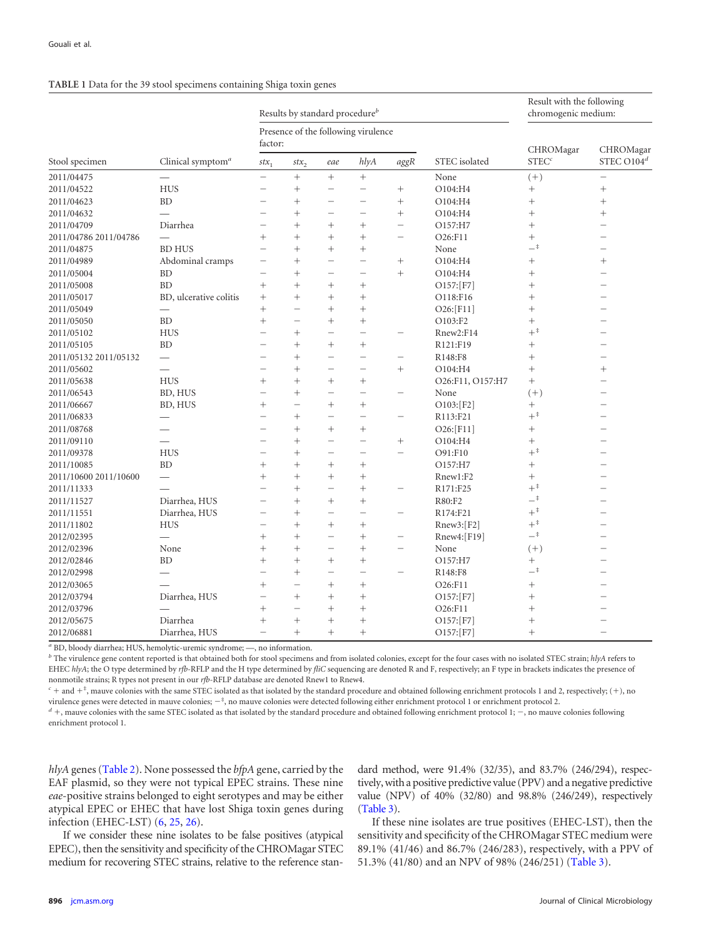<span id="page-2-0"></span>

|  | TABLE 1 Data for the 39 stool specimens containing Shiga toxin genes |  |
|--|----------------------------------------------------------------------|--|
|  |                                                                      |  |

|                       |                               | Results by standard procedure <sup>b</sup>     |                          |                          | Result with the following<br>chromogenic medium: |                          |                  |                   |                            |
|-----------------------|-------------------------------|------------------------------------------------|--------------------------|--------------------------|--------------------------------------------------|--------------------------|------------------|-------------------|----------------------------|
|                       |                               | Presence of the following virulence<br>factor: |                          |                          |                                                  |                          |                  | CHROMagar         |                            |
| Stool specimen        | Clinical symptom <sup>a</sup> | $stx_1$                                        | $stx_2$                  | eae                      | hlyA                                             | $aggR$                   | STEC isolated    | STEC <sup>c</sup> | CHROMagar<br>STEC $O104^d$ |
| 2011/04475            |                               |                                                | $^{+}$                   | $^{+}$                   | $^{+}$                                           |                          | None             | $(+)$             |                            |
| 2011/04522            | <b>HUS</b>                    |                                                | $^{+}$                   |                          | $\overline{\phantom{0}}$                         | $^{+}$                   | O104:H4          | $\! + \!\!\!\!$   | $^{+}$                     |
| 2011/04623            | <b>BD</b>                     |                                                | $^{+}$                   | $\overline{\phantom{0}}$ | $\overline{\phantom{0}}$                         | $^{+}$                   | O104:H4          | $^{+}$            | $^{+}$                     |
| 2011/04632            |                               |                                                | $^{+}$                   | $\overline{\phantom{0}}$ | $\overline{\phantom{0}}$                         | $^{+}$                   | O104:H4          | $^{+}$            | $^{+}$                     |
| 2011/04709            | Diarrhea                      |                                                | $^{+}$                   | $^{+}$                   | $^{+}$                                           | $\qquad \qquad -$        | O157:H7          | $^{+}$            |                            |
| 2011/04786 2011/04786 |                               | $^{+}$                                         | $^{+}$                   | $^{+}$                   | $^{+}$                                           | $\overline{\phantom{0}}$ | O26:F11          | $^{+}$            |                            |
| 2011/04875            | <b>BD HUS</b>                 |                                                | $^{+}$                   | $^{+}$                   | $^{+}$                                           |                          | None             | $-^\ddag$         |                            |
| 2011/04989            | Abdominal cramps              |                                                | $^{+}$                   | $\overline{\phantom{a}}$ | $\overline{\phantom{0}}$                         |                          | O104:H4          | $^{+}$            | $^{+}$                     |
| 2011/05004            | BD                            |                                                | $^{+}$                   |                          | $\overline{\phantom{0}}$                         | $^{+}$                   | O104:H4          | $\! + \!\!\!\!$   |                            |
| 2011/05008            | <b>BD</b>                     | $^{+}$                                         | $^{+}$                   | $^{+}$                   | $^{+}$                                           |                          | O157: [F7]       | $^{+}$            |                            |
| 2011/05017            | BD, ulcerative colitis        | $^{+}$                                         | $^{+}$                   | $^{+}$                   | $^{+}$                                           |                          | O118:F16         | $^{+}$            |                            |
| 2011/05049            |                               | $^{+}$                                         | $\overline{\phantom{0}}$ | $^{+}$                   | $^{+}$                                           |                          | O26:[F11]        | $^{+}$            |                            |
| 2011/05050            | <b>BD</b>                     | $^{+}$                                         |                          | $^{+}$                   | $^{+}$                                           |                          | O103:F2          | $^{+}$            |                            |
| 2011/05102            | <b>HUS</b>                    |                                                | $^{+}$                   | $\overline{\phantom{0}}$ | $\overline{\phantom{0}}$                         |                          | Rnew2:F14        | $+^{\ddag}$       |                            |
| 2011/05105            | <b>BD</b>                     |                                                | $^{+}$                   | $^{+}$                   | $^{+}$                                           |                          | R121:F19         | $^{+}$            |                            |
| 2011/05132 2011/05132 |                               |                                                | $^{+}$                   | $\overline{\phantom{0}}$ | $\overline{\phantom{0}}$                         |                          | R148:F8          | $^{+}$            |                            |
| 2011/05602            | $\overline{\phantom{0}}$      |                                                | $^{+}$                   | $\overline{\phantom{0}}$ | $\overline{\phantom{0}}$                         | $^{+}$                   | O104:H4          | $^{+}$            | $^{+}$                     |
| 2011/05638            | <b>HUS</b>                    | $^{+}$                                         | $^{+}$                   | $^{+}$                   | $^{+}$                                           |                          | O26:F11, O157:H7 | $^{+}$            |                            |
| 2011/06543            | BD, HUS                       | $\overline{\phantom{a}}$                       | $^{+}$                   | $\overline{\phantom{0}}$ | $\overline{\phantom{0}}$                         | $\overline{\phantom{a}}$ | None             | $(+)$             |                            |
| 2011/06667            | BD, HUS                       | $^{+}$                                         | $\overline{\phantom{0}}$ | $^{+}$                   | $^{+}$                                           |                          | O103:[F2]        | $^{+}$            |                            |
| 2011/06833            | —                             |                                                | $^{+}$                   |                          | $\overline{\phantom{0}}$                         | $\overline{\phantom{0}}$ | R113:F21         | $+^{\ddagger}$    |                            |
| 2011/08768            |                               |                                                | $^{+}$                   | $^{+}$                   | $^{+}$                                           |                          | $O26:$ [F11]     | $^{+}$            |                            |
| 2011/09110            |                               |                                                | $^{+}$                   | $\overline{\phantom{0}}$ | $\overline{\phantom{0}}$                         | $\! + \!\!\!\!$          | O104:H4          | $^{+}$            |                            |
| 2011/09378            | <b>HUS</b>                    |                                                | $^{+}$                   | $\overline{\phantom{0}}$ | $\overline{\phantom{0}}$                         | $\overline{\phantom{0}}$ | O91:F10          | $+^{\ddagger}$    |                            |
| 2011/10085            | <b>BD</b>                     | $^{+}$                                         | $^{+}$                   | $^{+}$                   | $^{+}$                                           |                          | O157:H7          | $^{+}$            |                            |
| 2011/10600 2011/10600 |                               | $^{+}$                                         | $^{+}$                   | $^{+}$                   | $^{+}$                                           |                          | Rnew1:F2         | $^{+}$            |                            |
| 2011/11333            |                               |                                                | $^{+}$                   | $\overline{\phantom{0}}$ | $^{+}$                                           | $\overline{\phantom{0}}$ | R171:F25         | $+^{\frac{1}{4}}$ |                            |
| 2011/11527            | Diarrhea, HUS                 |                                                | $^{+}$                   | $^{+}$                   | $+$                                              |                          | R80:F2           | $ \overline{ }$   |                            |
| 2011/11551            | Diarrhea, HUS                 |                                                | $^{+}$                   |                          | -                                                |                          | R174:F21         | $+^{\ddag}$       |                            |
| 2011/11802            | <b>HUS</b>                    |                                                | $^{+}$                   | $^{+}$                   | $^{+}$                                           |                          | Rnew3:[F2]       | $+^{\ddagger}$    |                            |
| 2012/02395            |                               | $^+$                                           | $^{+}$                   | $\overline{\phantom{0}}$ | $^{+}$                                           | $\overline{\phantom{0}}$ | Rnew4:[F19]      | $-^{\ddag}$       |                            |
| 2012/02396            | None                          | $^{+}$                                         | $^{+}$                   | $\overline{\phantom{a}}$ | $^{+}$                                           | $\overline{\phantom{0}}$ | None             | $(+)$             |                            |
| 2012/02846            | <b>BD</b>                     | $^{+}$                                         | $^{+}$                   | $^{+}$                   | $^{+}$                                           |                          | O157:H7          | $^{+}$            |                            |
| 2012/02998            | -                             |                                                | $^{+}$                   | $\overline{\phantom{a}}$ | ÷                                                | $\overline{\phantom{0}}$ | R148:F8          | $-^{\ddag}$       |                            |
| 2012/03065            |                               | $^{+}$                                         | $\overline{\phantom{0}}$ | $^{+}$                   | $^{+}$                                           |                          | O26:F11          | $^{+}$            |                            |
| 2012/03794            | Diarrhea, HUS                 |                                                | $^{+}$                   | $^{+}$                   | $^{+}$                                           |                          | O157:[F7]        | $^{+}$            |                            |
| 2012/03796            |                               | $^{+}$                                         | $\overline{\phantom{0}}$ | $^{+}$                   | $^{+}$                                           |                          | O26:F11          | $^{+}$            |                            |
| 2012/05675            | Diarrhea                      | $^{+}$                                         | $^{+}$                   | $^{+}$                   |                                                  |                          | O157:[F7]        | $^{+}$            |                            |
| 2012/06881            | Diarrhea, HUS                 | $\qquad \qquad -$                              | $^{+}$                   | $^{+}$                   | $^{+}$                                           |                          | O157:[F7]        | $^{+}$            |                            |

*<sup>a</sup>* BD, bloody diarrhea; HUS, hemolytic-uremic syndrome; —, no information.

*<sup>b</sup>* The virulence gene content reported is that obtained both for stool specimens and from isolated colonies, except for the four cases with no isolated STEC strain; *hlyA* refers to EHEC *hlyA*; the O type determined by *rfb*-RFLP and the H type determined by *fliC* sequencing are denoted R and F, respectively; an F type in brackets indicates the presence of nonmotile strains; R types not present in our *rfb*-RFLP database are denoted Rnew1 to Rnew4.

 $c +$  and  $+$ <sup>\*</sup>, mauve colonies with the same STEC isolated as that isolated by the standard procedure and obtained following enrichment protocols 1 and 2, respectively; (+), no virulence genes were detected in mauve colonies;  $-$ ‡, no mauve colonies were detected following either enrichment protocol 1 or enrichment protocol 2.

 $d$  +, mauve colonies with the same STEC isolated as that isolated by the standard procedure and obtained following enrichment protocol 1;  $-$ , no mauve colonies following enrichment protocol 1.

*hlyA* genes [\(Table 2\)](#page-3-0). None possessed the *bfpA* gene, carried by the EAF plasmid, so they were not typical EPEC strains. These nine *eae*-positive strains belonged to eight serotypes and may be either atypical EPEC or EHEC that have lost Shiga toxin genes during infection (EHEC-LST) [\(6,](#page-6-1) [25,](#page-6-17) [26\)](#page-6-18).

If we consider these nine isolates to be false positives (atypical EPEC), then the sensitivity and specificity of the CHROMagar STEC medium for recovering STEC strains, relative to the reference standard method, were 91.4% (32/35), and 83.7% (246/294), respectively, with a positive predictive value (PPV) and a negative predictive value (NPV) of 40% (32/80) and 98.8% (246/249), respectively [\(Table 3\)](#page-3-1).

If these nine isolates are true positives (EHEC-LST), then the sensitivity and specificity of the CHROMagar STEC medium were 89.1% (41/46) and 86.7% (246/283), respectively, with a PPV of 51.3% (41/80) and an NPV of 98% (246/251) [\(Table 3\)](#page-3-1).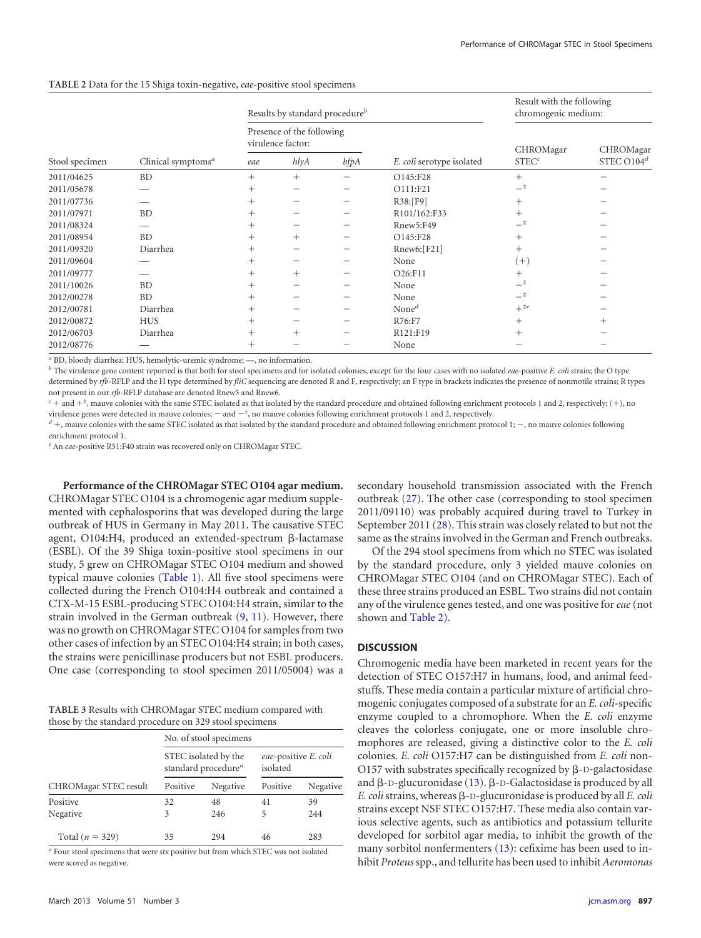<span id="page-3-0"></span>

| TABLE 2 Data for the 15 Shiga toxin-negative, eae-positive stool specimens |  |  |  |  |
|----------------------------------------------------------------------------|--|--|--|--|
|----------------------------------------------------------------------------|--|--|--|--|

|                |                       |                                                | Results by standard procedure <sup>b</sup> |            | Result with the following<br>chromogenic medium: |                   |               |
|----------------|-----------------------|------------------------------------------------|--------------------------------------------|------------|--------------------------------------------------|-------------------|---------------|
|                | Clinical symptoms $a$ | Presence of the following<br>virulence factor: |                                            |            |                                                  | CHROMagar         | CHROMagar     |
| Stool specimen |                       | eae                                            | h l y A                                    | $b\!f\!pA$ | E. coli serotype isolated                        | STEC <sup>c</sup> | STEC $O104^d$ |
| 2011/04625     | <b>BD</b>             | $^{+}$                                         | $^{+}$                                     |            | O145:F28                                         | $^{+}$            |               |
| 2011/05678     |                       | $^+$                                           |                                            |            | O111:F21                                         | $ \overline{ }$   |               |
| 2011/07736     |                       | $^+$                                           |                                            |            | R38:[F9]                                         | $+$               |               |
| 2011/07971     | <b>BD</b>             | $^+$                                           |                                            |            | R101/162:F33                                     | $^{+}$            |               |
| 2011/08324     |                       | $^{+}$                                         |                                            |            | Rnew5:F49                                        | $ \overline{ }$   |               |
| 2011/08954     | <b>BD</b>             |                                                | $\overline{+}$                             |            | O145:F28                                         | $^+$              |               |
| 2011/09320     | Diarrhea              | $^{+}$                                         |                                            |            | Rnew6: [F21]                                     | $^{+}$            |               |
| 2011/09604     |                       | $^{+}$                                         |                                            |            | None                                             | $(+)$             |               |
| 2011/09777     |                       | $^{+}$                                         | $^{+}$                                     |            | O <sub>26</sub> :F <sub>11</sub>                 | $^{+}$            |               |
| 2011/10026     | <b>BD</b>             | $^{+}$                                         |                                            |            | None                                             | —‡                |               |
| 2012/00278     | <b>BD</b>             | $^+$                                           |                                            |            | None                                             | —‡                |               |
| 2012/00781     | Diarrhea              | $^{+}$                                         |                                            |            | None <sup><math>d</math></sup>                   | $+$ #e            |               |
| 2012/00872     | <b>HUS</b>            | $^{+}$                                         |                                            |            | R76:F7                                           | $^{+}$            | $^{+}$        |
| 2012/06703     | Diarrhea              | $^+$                                           | $^{+}$                                     |            | R <sub>121</sub> :F <sub>19</sub>                | $^{+}$            |               |
| 2012/08776     |                       | $^{+}$                                         |                                            |            | None                                             |                   |               |

*<sup>a</sup>* BD, bloody diarrhea; HUS, hemolytic-uremic syndrome; —, no information.

*<sup>b</sup>* The virulence gene content reported is that both for stool specimens and for isolated colonies, except for the four cases with no isolated *eae*-positive *E. coli* strain; the O type determined by *rfb*-RFLP and the H type determined by *fliC* sequencing are denoted R and F, respectively; an F type in brackets indicates the presence of nonmotile strains; R types not present in our *rfb*-RFLP database are denoted Rnew5 and Rnew6.

 $c +$  and  $+$ <sup>\*</sup>, mauve colonies with the same STEC isolated as that isolated by the standard procedure and obtained following enrichment protocols 1 and 2, respectively; (+), no virulence genes were detected in mauve colonies;  $-$  and  $-$ \*, no mauve colonies following enrichment protocols 1 and 2, respectively.

 $d$  +, mauve colonies with the same STEC isolated as that isolated by the standard procedure and obtained following enrichment protocol 1;  $-$ , no mauve colonies following enrichment protocol 1.

*<sup>e</sup>* An *eae*-positive R51:F40 strain was recovered only on CHROMagar STEC.

**Performance of the CHROMagar STEC O104 agar medium.** CHROMagar STEC O104 is a chromogenic agar medium supplemented with cephalosporins that was developed during the large outbreak of HUS in Germany in May 2011. The causative STEC agent, O104:H4, produced an extended-spectrum  $\beta$ -lactamase (ESBL). Of the 39 Shiga toxin-positive stool specimens in our study, 5 grew on CHROMagar STEC O104 medium and showed typical mauve colonies [\(Table 1\)](#page-2-0). All five stool specimens were collected during the French O104:H4 outbreak and contained a CTX-M-15 ESBL-producing STEC O104:H4 strain, similar to the strain involved in the German outbreak [\(9,](#page-6-13) [11\)](#page-6-3). However, there was no growth on CHROMagar STEC O104 for samples from two other cases of infection by an STEC O104:H4 strain; in both cases, the strains were penicillinase producers but not ESBL producers. One case (corresponding to stool specimen 2011/05004) was a

<span id="page-3-1"></span>

| TABLE 3 Results with CHROMagar STEC medium compared with |  |
|----------------------------------------------------------|--|
| those by the standard procedure on 329 stool specimens   |  |

|                       | No. of stool specimens |                                                         |                                  |          |  |  |  |  |
|-----------------------|------------------------|---------------------------------------------------------|----------------------------------|----------|--|--|--|--|
|                       |                        | STEC isolated by the<br>standard procedure <sup>a</sup> | eae-positive E. coli<br>isolated |          |  |  |  |  |
| CHROMagar STEC result | Positive               | Negative                                                | Positive                         | Negative |  |  |  |  |
| Positive              | 32                     | 48                                                      | 41                               | 39       |  |  |  |  |
| Negative              | 3                      | 246                                                     | 5                                | 244      |  |  |  |  |
| Total $(n = 329)$     | 35                     | 294                                                     | 46                               | 283      |  |  |  |  |

*<sup>a</sup>* Four stool specimens that were *stx* positive but from which STEC was not isolated were scored as negative.

secondary household transmission associated with the French outbreak [\(27\)](#page-6-19). The other case (corresponding to stool specimen 2011/09110) was probably acquired during travel to Turkey in September 2011 [\(28\)](#page-6-20). This strain was closely related to but not the same as the strains involved in the German and French outbreaks.

Of the 294 stool specimens from which no STEC was isolated by the standard procedure, only 3 yielded mauve colonies on CHROMagar STEC O104 (and on CHROMagar STEC). Each of these three strains produced an ESBL. Two strains did not contain any of the virulence genes tested, and one was positive for*eae*(not shown and [Table 2\)](#page-3-0).

#### **DISCUSSION**

Chromogenic media have been marketed in recent years for the detection of STEC O157:H7 in humans, food, and animal feedstuffs. These media contain a particular mixture of artificial chromogenic conjugates composed of a substrate for an *E. coli*-specific enzyme coupled to a chromophore. When the *E. coli* enzyme cleaves the colorless conjugate, one or more insoluble chromophores are released, giving a distinctive color to the *E. coli* colonies. *E. coli* O157:H7 can be distinguished from *E. coli* non-O157 with substrates specifically recognized by  $\beta$ -D-galactosidase and  $\beta$ -D-glucuronidase [\(13\)](#page-6-5).  $\beta$ -D-Galactosidase is produced by all  $E.$  *coli* strains, whereas  $\beta$ -D-glucuronidase is produced by all  $E.$  *coli* strains except NSF STEC O157:H7. These media also contain various selective agents, such as antibiotics and potassium tellurite developed for sorbitol agar media, to inhibit the growth of the many sorbitol nonfermenters [\(13\)](#page-6-5): cefixime has been used to inhibit *Proteus*spp., and tellurite has been used to inhibit *Aeromonas*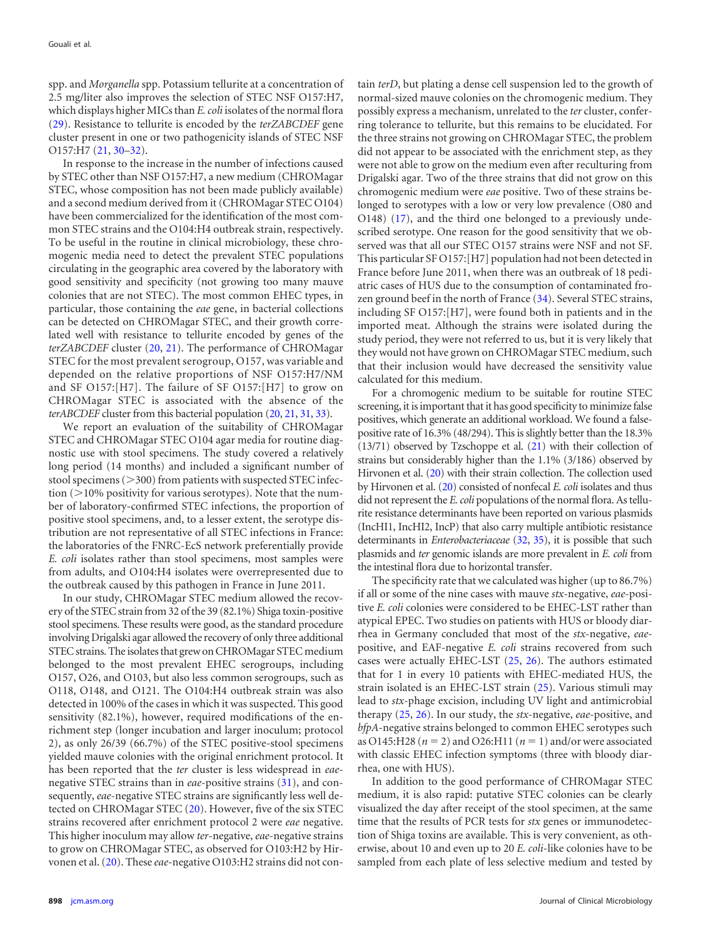spp. and *Morganella* spp. Potassium tellurite at a concentration of 2.5 mg/liter also improves the selection of STEC NSF O157:H7, which displays higher MICs than *E. coli* isolates of the normal flora [\(29\)](#page-6-21). Resistance to tellurite is encoded by the *terZABCDEF* gene cluster present in one or two pathogenicity islands of STEC NSF O157:H7 [\(21,](#page-6-12) 30-[32\)](#page-6-23).

In response to the increase in the number of infections caused by STEC other than NSF O157:H7, a new medium (CHROMagar STEC, whose composition has not been made publicly available) and a second medium derived from it (CHROMagar STEC O104) have been commercialized for the identification of the most common STEC strains and the O104:H4 outbreak strain, respectively. To be useful in the routine in clinical microbiology, these chromogenic media need to detect the prevalent STEC populations circulating in the geographic area covered by the laboratory with good sensitivity and specificity (not growing too many mauve colonies that are not STEC). The most common EHEC types, in particular, those containing the *eae* gene, in bacterial collections can be detected on CHROMagar STEC, and their growth correlated well with resistance to tellurite encoded by genes of the *terZABCDEF* cluster [\(20,](#page-6-11) [21\)](#page-6-12). The performance of CHROMagar STEC for the most prevalent serogroup, O157, was variable and depended on the relative proportions of NSF O157:H7/NM and SF O157:[H7]. The failure of SF O157:[H7] to grow on CHROMagar STEC is associated with the absence of the *terABCDEF* cluster from this bacterial population [\(20,](#page-6-11) [21,](#page-6-12) [31,](#page-6-24) [33\)](#page-6-25).

We report an evaluation of the suitability of CHROMagar STEC and CHROMagar STEC O104 agar media for routine diagnostic use with stool specimens. The study covered a relatively long period (14 months) and included a significant number of stool specimens  $(>300)$  from patients with suspected STEC infection  $(>10\%$  positivity for various serotypes). Note that the number of laboratory-confirmed STEC infections, the proportion of positive stool specimens, and, to a lesser extent, the serotype distribution are not representative of all STEC infections in France: the laboratories of the FNRC-EcS network preferentially provide *E. coli* isolates rather than stool specimens, most samples were from adults, and O104:H4 isolates were overrepresented due to the outbreak caused by this pathogen in France in June 2011.

In our study, CHROMagar STEC medium allowed the recovery of the STEC strain from 32 of the 39 (82.1%) Shiga toxin-positive stool specimens. These results were good, as the standard procedure involving Drigalski agar allowed the recovery of only three additional STEC strains. The isolates that grew on CHROMagar STEC medium belonged to the most prevalent EHEC serogroups, including O157, O26, and O103, but also less common serogroups, such as O118, O148, and O121. The O104:H4 outbreak strain was also detected in 100% of the cases in which it was suspected. This good sensitivity (82.1%), however, required modifications of the enrichment step (longer incubation and larger inoculum; protocol 2), as only 26/39 (66.7%) of the STEC positive-stool specimens yielded mauve colonies with the original enrichment protocol. It has been reported that the *ter* cluster is less widespread in *eae*negative STEC strains than in *eae*-positive strains [\(31\)](#page-6-24), and consequently, *eae*-negative STEC strains are significantly less well detected on CHROMagar STEC [\(20\)](#page-6-11). However, five of the six STEC strains recovered after enrichment protocol 2 were *eae* negative. This higher inoculum may allow *ter*-negative,*eae*-negative strains to grow on CHROMagar STEC, as observed for O103:H2 by Hirvonen et al. [\(20\)](#page-6-11). These *eae*-negative O103:H2 strains did not con-

tain *terD*, but plating a dense cell suspension led to the growth of normal-sized mauve colonies on the chromogenic medium. They possibly express a mechanism, unrelated to the *ter* cluster, conferring tolerance to tellurite, but this remains to be elucidated. For the three strains not growing on CHROMagar STEC, the problem did not appear to be associated with the enrichment step, as they were not able to grow on the medium even after reculturing from Drigalski agar. Two of the three strains that did not grow on this chromogenic medium were *eae* positive. Two of these strains belonged to serotypes with a low or very low prevalence (O80 and O148) [\(17\)](#page-6-8), and the third one belonged to a previously undescribed serotype. One reason for the good sensitivity that we observed was that all our STEC O157 strains were NSF and not SF. This particular SF O157:[H7] population had not been detected in France before June 2011, when there was an outbreak of 18 pediatric cases of HUS due to the consumption of contaminated frozen ground beef in the north of France [\(34\)](#page-6-26). Several STEC strains, including SF O157:[H7], were found both in patients and in the imported meat. Although the strains were isolated during the study period, they were not referred to us, but it is very likely that they would not have grown on CHROMagar STEC medium, such that their inclusion would have decreased the sensitivity value calculated for this medium.

For a chromogenic medium to be suitable for routine STEC screening, it is important that it has good specificity to minimize false positives, which generate an additional workload. We found a falsepositive rate of 16.3% (48/294). This is slightly better than the 18.3%  $(13/71)$  observed by Tzschoppe et al.  $(21)$  with their collection of strains but considerably higher than the 1.1% (3/186) observed by Hirvonen et al. [\(20\)](#page-6-11) with their strain collection. The collection used by Hirvonen et al. [\(20\)](#page-6-11) consisted of nonfecal *E. coli* isolates and thus did not represent the *E. coli* populations of the normal flora. As tellurite resistance determinants have been reported on various plasmids (IncHI1, IncHI2, IncP) that also carry multiple antibiotic resistance determinants in *Enterobacteriaceae* [\(32,](#page-6-23) [35\)](#page-6-27), it is possible that such plasmids and *ter* genomic islands are more prevalent in *E. coli* from the intestinal flora due to horizontal transfer.

The specificity rate that we calculated was higher (up to 86.7%) if all or some of the nine cases with mauve *stx*-negative, *eae*-positive *E. coli* colonies were considered to be EHEC-LST rather than atypical EPEC. Two studies on patients with HUS or bloody diarrhea in Germany concluded that most of the *stx*-negative, *eae*positive, and EAF-negative *E. coli* strains recovered from such cases were actually EHEC-LST [\(25,](#page-6-17) [26\)](#page-6-18). The authors estimated that for 1 in every 10 patients with EHEC-mediated HUS, the strain isolated is an EHEC-LST strain [\(25\)](#page-6-17). Various stimuli may lead to *stx*-phage excision, including UV light and antimicrobial therapy [\(25,](#page-6-17) [26\)](#page-6-18). In our study, the *stx*-negative, *eae*-positive, and *bfpA*-negative strains belonged to common EHEC serotypes such as O145:H28 ( $n = 2$ ) and O26:H11 ( $n = 1$ ) and/or were associated with classic EHEC infection symptoms (three with bloody diarrhea, one with HUS).

In addition to the good performance of CHROMagar STEC medium, it is also rapid: putative STEC colonies can be clearly visualized the day after receipt of the stool specimen, at the same time that the results of PCR tests for *stx* genes or immunodetection of Shiga toxins are available. This is very convenient, as otherwise, about 10 and even up to 20 *E. coli*-like colonies have to be sampled from each plate of less selective medium and tested by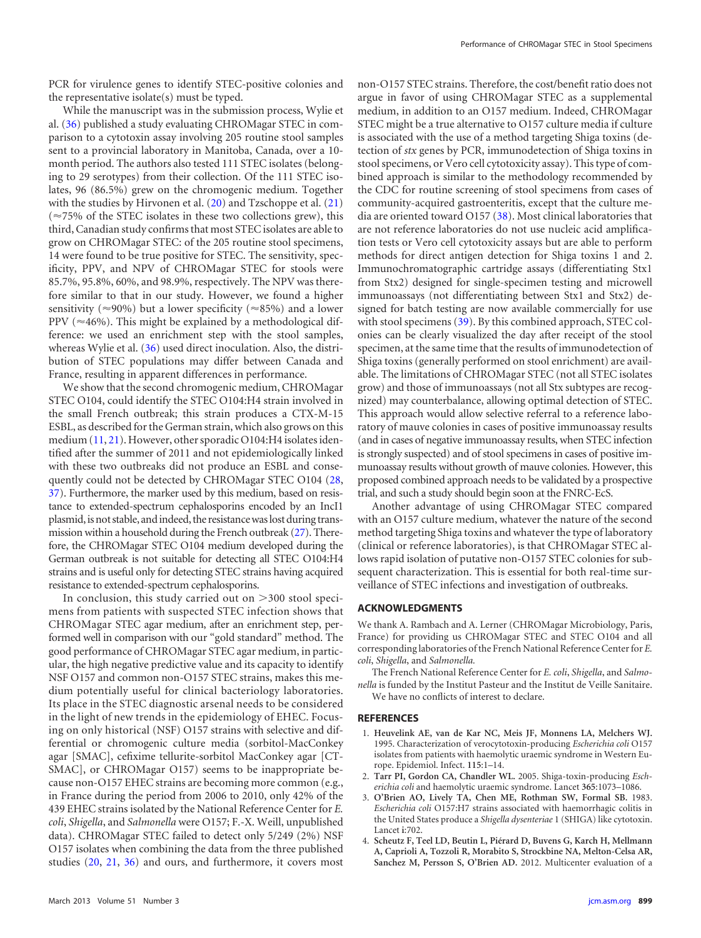PCR for virulence genes to identify STEC-positive colonies and the representative isolate(s) must be typed.

While the manuscript was in the submission process, Wylie et al. [\(36\)](#page-6-28) published a study evaluating CHROMagar STEC in comparison to a cytotoxin assay involving 205 routine stool samples sent to a provincial laboratory in Manitoba, Canada, over a 10 month period. The authors also tested 111 STEC isolates (belonging to 29 serotypes) from their collection. Of the 111 STEC isolates, 96 (86.5%) grew on the chromogenic medium. Together with the studies by Hirvonen et al. [\(20\)](#page-6-11) and Tzschoppe et al. [\(21\)](#page-6-12)  $(\approx 75\%$  of the STEC isolates in these two collections grew), this third, Canadian study confirms that most STEC isolates are able to grow on CHROMagar STEC: of the 205 routine stool specimens, 14 were found to be true positive for STEC. The sensitivity, specificity, PPV, and NPV of CHROMagar STEC for stools were 85.7%, 95.8%, 60%, and 98.9%, respectively. The NPV was therefore similar to that in our study. However, we found a higher sensitivity ( $\approx$ 90%) but a lower specificity ( $\approx$ 85%) and a lower PPV ( $\approx$ 46%). This might be explained by a methodological difference: we used an enrichment step with the stool samples, whereas Wylie et al. [\(36\)](#page-6-28) used direct inoculation. Also, the distribution of STEC populations may differ between Canada and France, resulting in apparent differences in performance.

We show that the second chromogenic medium, CHROMagar STEC O104, could identify the STEC O104:H4 strain involved in the small French outbreak; this strain produces a CTX-M-15 ESBL, as described for the German strain, which also grows on this medium [\(11,](#page-6-3) [21\)](#page-6-12). However, other sporadic O104:H4 isolates identified after the summer of 2011 and not epidemiologically linked with these two outbreaks did not produce an ESBL and consequently could not be detected by CHROMagar STEC O104 [\(28,](#page-6-20) [37\)](#page-6-29). Furthermore, the marker used by this medium, based on resistance to extended-spectrum cephalosporins encoded by an IncI1 plasmid, is not stable, and indeed, the resistance was lost during transmission within a household during the French outbreak [\(27\)](#page-6-19). Therefore, the CHROMagar STEC O104 medium developed during the German outbreak is not suitable for detecting all STEC O104:H4 strains and is useful only for detecting STEC strains having acquired resistance to extended-spectrum cephalosporins.

In conclusion, this study carried out on  $>$  300 stool specimens from patients with suspected STEC infection shows that CHROMagar STEC agar medium, after an enrichment step, performed well in comparison with our "gold standard" method. The good performance of CHROMagar STEC agar medium, in particular, the high negative predictive value and its capacity to identify NSF O157 and common non-O157 STEC strains, makes this medium potentially useful for clinical bacteriology laboratories. Its place in the STEC diagnostic arsenal needs to be considered in the light of new trends in the epidemiology of EHEC. Focusing on only historical (NSF) O157 strains with selective and differential or chromogenic culture media (sorbitol-MacConkey agar [SMAC], cefixime tellurite-sorbitol MacConkey agar [CT-SMAC], or CHROMagar O157) seems to be inappropriate because non-O157 EHEC strains are becoming more common (e.g., in France during the period from 2006 to 2010, only 42% of the 439 EHEC strains isolated by the National Reference Center for *E. coli*, *Shigella*, and *Salmonella* were O157; F.-X. Weill, unpublished data). CHROMagar STEC failed to detect only 5/249 (2%) NSF O157 isolates when combining the data from the three published studies [\(20,](#page-6-11) [21,](#page-6-12) [36\)](#page-6-28) and ours, and furthermore, it covers most

non-O157 STEC strains. Therefore, the cost/benefit ratio does not argue in favor of using CHROMagar STEC as a supplemental medium, in addition to an O157 medium. Indeed, CHROMagar STEC might be a true alternative to O157 culture media if culture is associated with the use of a method targeting Shiga toxins (detection of *stx* genes by PCR, immunodetection of Shiga toxins in stool specimens, or Vero cell cytotoxicity assay). This type of combined approach is similar to the methodology recommended by the CDC for routine screening of stool specimens from cases of community-acquired gastroenteritis, except that the culture media are oriented toward O157 [\(38\)](#page-6-30). Most clinical laboratories that are not reference laboratories do not use nucleic acid amplification tests or Vero cell cytotoxicity assays but are able to perform methods for direct antigen detection for Shiga toxins 1 and 2. Immunochromatographic cartridge assays (differentiating Stx1 from Stx2) designed for single-specimen testing and microwell immunoassays (not differentiating between Stx1 and Stx2) designed for batch testing are now available commercially for use with stool specimens [\(39\)](#page-6-31). By this combined approach, STEC colonies can be clearly visualized the day after receipt of the stool specimen, at the same time that the results of immunodetection of Shiga toxins (generally performed on stool enrichment) are available. The limitations of CHROMagar STEC (not all STEC isolates grow) and those of immunoassays (not all Stx subtypes are recognized) may counterbalance, allowing optimal detection of STEC. This approach would allow selective referral to a reference laboratory of mauve colonies in cases of positive immunoassay results (and in cases of negative immunoassay results, when STEC infection is strongly suspected) and of stool specimens in cases of positive immunoassay results without growth of mauve colonies. However, this proposed combined approach needs to be validated by a prospective trial, and such a study should begin soon at the FNRC-EcS.

Another advantage of using CHROMagar STEC compared with an O157 culture medium, whatever the nature of the second method targeting Shiga toxins and whatever the type of laboratory (clinical or reference laboratories), is that CHROMagar STEC allows rapid isolation of putative non-O157 STEC colonies for subsequent characterization. This is essential for both real-time surveillance of STEC infections and investigation of outbreaks.

### **ACKNOWLEDGMENTS**

We thank A. Rambach and A. Lerner (CHROMagar Microbiology, Paris, France) for providing us CHROMagar STEC and STEC O104 and all corresponding laboratories of the French National Reference Center for *E. coli*, *Shigella*, and *Salmonella.*

The French National Reference Center for *E. coli*, *Shigella*, and *Salmonella* is funded by the Institut Pasteur and the Institut de Veille Sanitaire. We have no conflicts of interest to declare.

#### <span id="page-5-0"></span>**REFERENCES**

- 1. **Heuvelink AE, van de Kar NC, Meis JF, Monnens LA, Melchers WJ.** 1995. Characterization of verocytotoxin-producing *Escherichia coli* O157 isolates from patients with haemolytic uraemic syndrome in Western Europe. Epidemiol. Infect. **115**:1–14.
- <span id="page-5-2"></span><span id="page-5-1"></span>2. **Tarr PI, Gordon CA, Chandler WL.** 2005. Shiga-toxin-producing *Escherichia coli* and haemolytic uraemic syndrome. Lancet **365**:1073–1086.
- 3. **O'Brien AO, Lively TA, Chen ME, Rothman SW, Formal SB.** 1983. *Escherichia coli* O157:H7 strains associated with haemorrhagic colitis in the United States produce a *Shigella dysenteriae* 1 (SHIGA) like cytotoxin. Lancet **i**:702.
- <span id="page-5-3"></span>4. **Scheutz F, Teel LD, Beutin L, Piérard D, Buvens G, Karch H, Mellmann A, Caprioli A, Tozzoli R, Morabito S, Strockbine NA, Melton-Celsa AR, Sanchez M, Persson S, O'Brien AD.** 2012. Multicenter evaluation of a